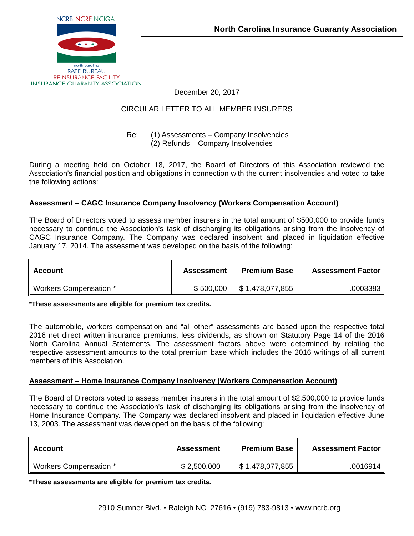

December 20, 2017

## CIRCULAR LETTER TO ALL MEMBER INSURERS

#### Re: (1) Assessments – Company Insolvencies (2) Refunds – Company Insolvencies

During a meeting held on October 18, 2017, the Board of Directors of this Association reviewed the Association's financial position and obligations in connection with the current insolvencies and voted to take the following actions:

## **Assessment – CAGC Insurance Company Insolvency (Workers Compensation Account)**

The Board of Directors voted to assess member insurers in the total amount of \$500,000 to provide funds necessary to continue the Association's task of discharging its obligations arising from the insolvency of CAGC Insurance Company. The Company was declared insolvent and placed in liquidation effective January 17, 2014. The assessment was developed on the basis of the following:

| II Account             | <b>Assessment</b> | <b>Premium Base</b> | <b>Assessment Factor   </b> |
|------------------------|-------------------|---------------------|-----------------------------|
| Workers Compensation * | \$500,000         | \$1,478,077,855     | .0003383                    |

**\*These assessments are eligible for premium tax credits.**

The automobile, workers compensation and "all other" assessments are based upon the respective total 2016 net direct written insurance premiums, less dividends, as shown on Statutory Page 14 of the 2016 North Carolina Annual Statements. The assessment factors above were determined by relating the respective assessment amounts to the total premium base which includes the 2016 writings of all current members of this Association.

#### **Assessment – Home Insurance Company Insolvency (Workers Compensation Account)**

The Board of Directors voted to assess member insurers in the total amount of \$2,500,000 to provide funds necessary to continue the Association's task of discharging its obligations arising from the insolvency of Home Insurance Company. The Company was declared insolvent and placed in liquidation effective June 13, 2003. The assessment was developed on the basis of the following:

| II Account             | <b>Assessment</b> | <b>Premium Base</b> | <b>Assessment Factor  </b> |
|------------------------|-------------------|---------------------|----------------------------|
| Workers Compensation * | \$2,500,000       | \$1,478,077,855     | .0016914 ∥                 |

**\*These assessments are eligible for premium tax credits.**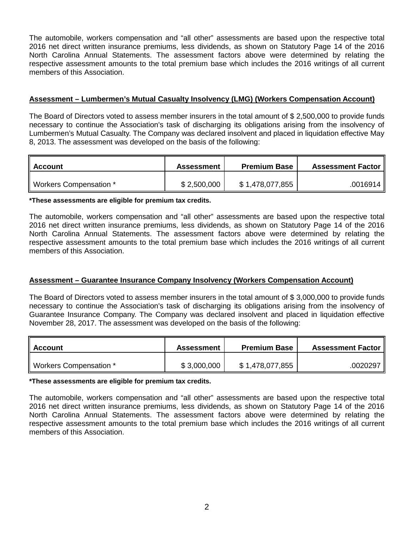The automobile, workers compensation and "all other" assessments are based upon the respective total 2016 net direct written insurance premiums, less dividends, as shown on Statutory Page 14 of the 2016 North Carolina Annual Statements. The assessment factors above were determined by relating the respective assessment amounts to the total premium base which includes the 2016 writings of all current members of this Association.

## **Assessment – Lumbermen's Mutual Casualty Insolvency (LMG) (Workers Compensation Account)**

The Board of Directors voted to assess member insurers in the total amount of \$ 2,500,000 to provide funds necessary to continue the Association's task of discharging its obligations arising from the insolvency of Lumbermen's Mutual Casualty. The Company was declared insolvent and placed in liquidation effective May 8, 2013. The assessment was developed on the basis of the following:

| ∥ Account              | <b>Assessment</b> | <b>Premium Base</b> | <b>Assessment Factor  </b> |
|------------------------|-------------------|---------------------|----------------------------|
| Workers Compensation * | \$2,500,000       | \$1,478,077,855     | .0016914 ∥                 |

**\*These assessments are eligible for premium tax credits.**

The automobile, workers compensation and "all other" assessments are based upon the respective total 2016 net direct written insurance premiums, less dividends, as shown on Statutory Page 14 of the 2016 North Carolina Annual Statements. The assessment factors above were determined by relating the respective assessment amounts to the total premium base which includes the 2016 writings of all current members of this Association.

## **Assessment – Guarantee Insurance Company Insolvency (Workers Compensation Account)**

The Board of Directors voted to assess member insurers in the total amount of \$ 3,000,000 to provide funds necessary to continue the Association's task of discharging its obligations arising from the insolvency of Guarantee Insurance Company. The Company was declared insolvent and placed in liquidation effective November 28, 2017. The assessment was developed on the basis of the following:

| <b>Account</b>         | Assessment  | <b>Premium Base</b> | <b>Assessment Factor</b> |
|------------------------|-------------|---------------------|--------------------------|
| Workers Compensation * | \$3,000,000 | \$ 1,478,077,855    | .0020297                 |

**\*These assessments are eligible for premium tax credits.**

The automobile, workers compensation and "all other" assessments are based upon the respective total 2016 net direct written insurance premiums, less dividends, as shown on Statutory Page 14 of the 2016 North Carolina Annual Statements. The assessment factors above were determined by relating the respective assessment amounts to the total premium base which includes the 2016 writings of all current members of this Association.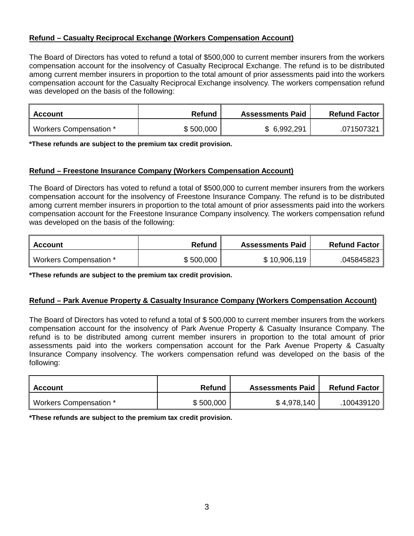# **Refund – Casualty Reciprocal Exchange (Workers Compensation Account)**

The Board of Directors has voted to refund a total of \$500,000 to current member insurers from the workers compensation account for the insolvency of Casualty Reciprocal Exchange. The refund is to be distributed among current member insurers in proportion to the total amount of prior assessments paid into the workers compensation account for the Casualty Reciprocal Exchange insolvency. The workers compensation refund was developed on the basis of the following:

| Account                | <b>Refund</b> | <b>Assessments Paid</b> | <b>Refund Factor</b> |
|------------------------|---------------|-------------------------|----------------------|
| Workers Compensation * | \$500,000     | \$6,992,291             | .071507321           |

**\*These refunds are subject to the premium tax credit provision.**

#### **Refund – Freestone Insurance Company (Workers Compensation Account)**

The Board of Directors has voted to refund a total of \$500,000 to current member insurers from the workers compensation account for the insolvency of Freestone Insurance Company. The refund is to be distributed among current member insurers in proportion to the total amount of prior assessments paid into the workers compensation account for the Freestone Insurance Company insolvency. The workers compensation refund was developed on the basis of the following:

| Account                | <b>Refund</b> | <b>Assessments Paid</b> | <b>Refund Factor</b> |
|------------------------|---------------|-------------------------|----------------------|
| Workers Compensation * | \$500,000     | \$10,906,119            | .045845823           |

**\*These refunds are subject to the premium tax credit provision.**

## **Refund – Park Avenue Property & Casualty Insurance Company (Workers Compensation Account)**

The Board of Directors has voted to refund a total of \$ 500,000 to current member insurers from the workers compensation account for the insolvency of Park Avenue Property & Casualty Insurance Company. The refund is to be distributed among current member insurers in proportion to the total amount of prior assessments paid into the workers compensation account for the Park Avenue Property & Casualty Insurance Company insolvency. The workers compensation refund was developed on the basis of the following:

| Account                | <b>Refund</b> | <b>Assessments Paid</b> | <b>Refund Factor</b> |
|------------------------|---------------|-------------------------|----------------------|
| Workers Compensation * | \$500,000     | \$4,978,140             | 100439120            |

**\*These refunds are subject to the premium tax credit provision.**